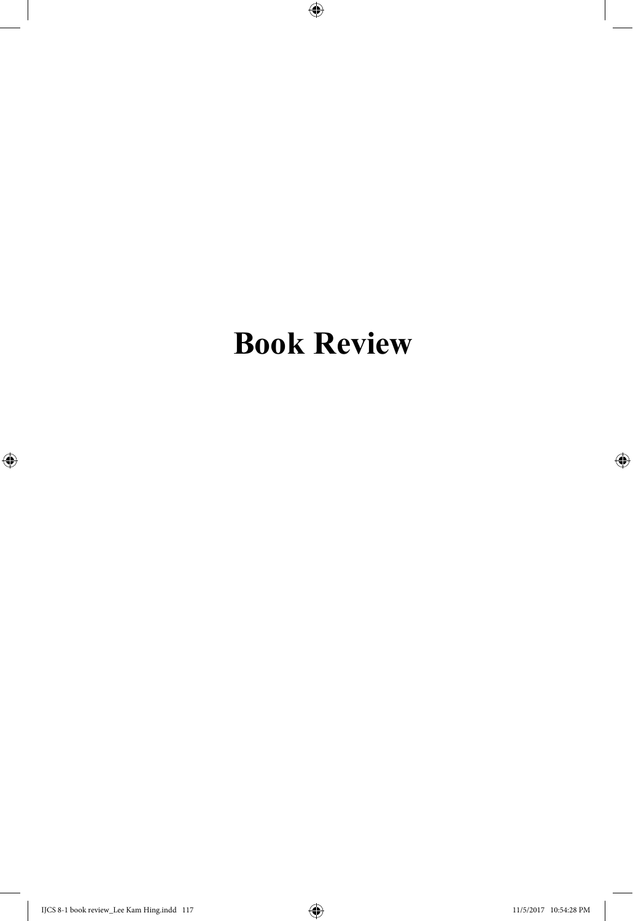# **Book Review**

 $\bigoplus$ 

 $\bigoplus$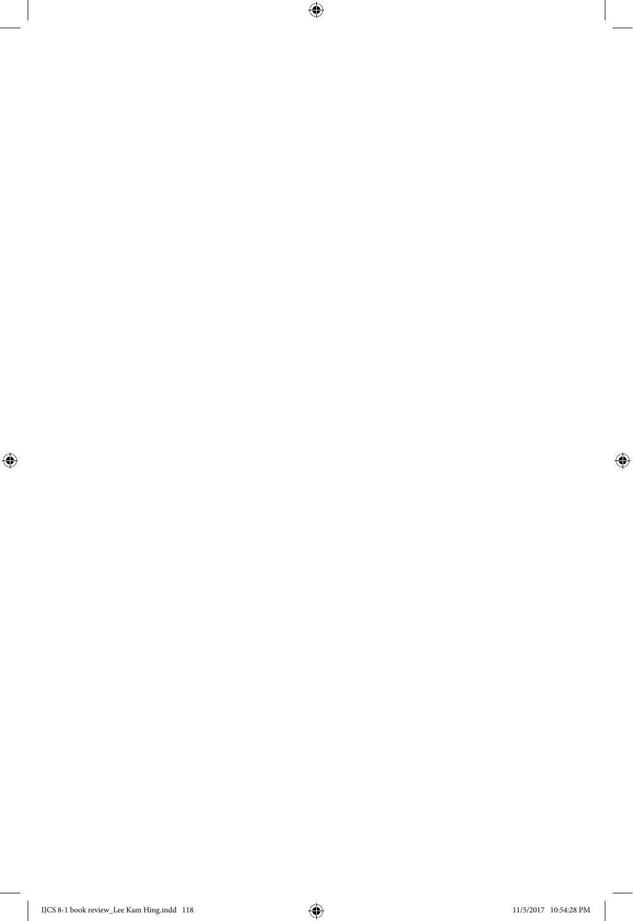

 $\overline{\phantom{a}}$ 

 $\bigoplus$ 

 $\bigoplus$ 

I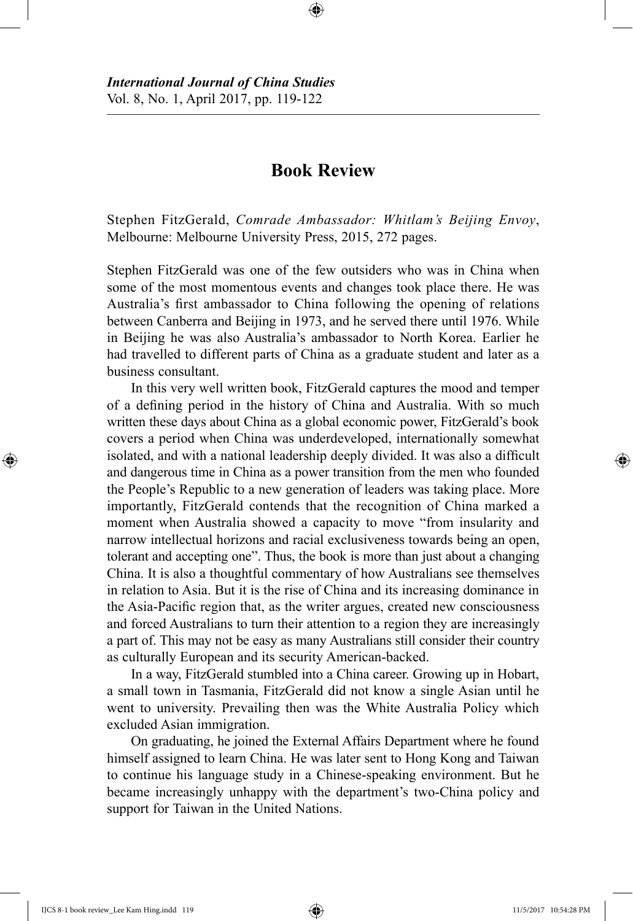## **Book Review**

⊕

Stephen FitzGerald, *Comrade Ambassador: Whitlam's Beijing Envoy*, Melbourne: Melbourne University Press, 2015, 272 pages.

Stephen FitzGerald was one of the few outsiders who was in China when some of the most momentous events and changes took place there. He was Australia's first ambassador to China following the opening of relations between Canberra and Beijing in 1973, and he served there until 1976. While in Beijing he was also Australia's ambassador to North Korea. Earlier he had travelled to different parts of China as a graduate student and later as a business consultant.

In this very well written book, FitzGerald captures the mood and temper of a defining period in the history of China and Australia. With so much written these days about China as a global economic power, FitzGerald's book covers a period when China was underdeveloped, internationally somewhat isolated, and with a national leadership deeply divided. It was also a difficult and dangerous time in China as a power transition from the men who founded the People's Republic to a new generation of leaders was taking place. More importantly, FitzGerald contends that the recognition of China marked a moment when Australia showed a capacity to move "from insularity and narrow intellectual horizons and racial exclusiveness towards being an open, tolerant and accepting one". Thus, the book is more than just about a changing China. It is also a thoughtful commentary of how Australians see themselves in relation to Asia. But it is the rise of China and its increasing dominance in the Asia-Pacific region that, as the writer argues, created new consciousness and forced Australians to turn their attention to a region they are increasingly a part of. This may not be easy as many Australians still consider their country as culturally European and its security American-backed.

In a way, FitzGerald stumbled into a China career. Growing up in Hobart, a small town in Tasmania, FitzGerald did not know a single Asian until he went to university. Prevailing then was the White Australia Policy which excluded Asian immigration.

On graduating, he joined the External Affairs Department where he found himself assigned to learn China. He was later sent to Hong Kong and Taiwan to continue his language study in a Chinese-speaking environment. But he became increasingly unhappy with the department's two-China policy and support for Taiwan in the United Nations.

⊕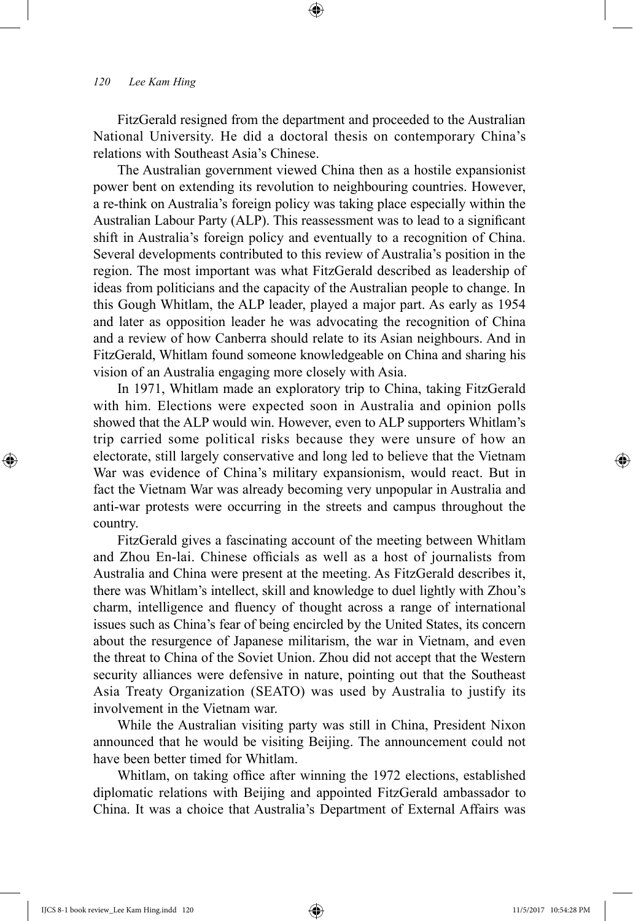### *120 Lee Kam Hing*

FitzGerald resigned from the department and proceeded to the Australian National University. He did a doctoral thesis on contemporary China's relations with Southeast Asia's Chinese.

⊕

The Australian government viewed China then as a hostile expansionist power bent on extending its revolution to neighbouring countries. However, a re-think on Australia's foreign policy was taking place especially within the Australian Labour Party (ALP). This reassessment was to lead to a significant shift in Australia's foreign policy and eventually to a recognition of China. Several developments contributed to this review of Australia's position in the region. The most important was what FitzGerald described as leadership of ideas from politicians and the capacity of the Australian people to change. In this Gough Whitlam, the ALP leader, played a major part. As early as 1954 and later as opposition leader he was advocating the recognition of China and a review of how Canberra should relate to its Asian neighbours. And in FitzGerald, Whitlam found someone knowledgeable on China and sharing his vision of an Australia engaging more closely with Asia.

In 1971, Whitlam made an exploratory trip to China, taking FitzGerald with him. Elections were expected soon in Australia and opinion polls showed that the ALP would win. However, even to ALP supporters Whitlam's trip carried some political risks because they were unsure of how an electorate, still largely conservative and long led to believe that the Vietnam War was evidence of China's military expansionism, would react. But in fact the Vietnam War was already becoming very unpopular in Australia and anti-war protests were occurring in the streets and campus throughout the country.

FitzGerald gives a fascinating account of the meeting between Whitlam and Zhou En-lai. Chinese officials as well as a host of journalists from Australia and China were present at the meeting. As FitzGerald describes it, there was Whitlam's intellect, skill and knowledge to duel lightly with Zhou's charm, intelligence and fluency of thought across a range of international issues such as China's fear of being encircled by the United States, its concern about the resurgence of Japanese militarism, the war in Vietnam, and even the threat to China of the Soviet Union. Zhou did not accept that the Western security alliances were defensive in nature, pointing out that the Southeast Asia Treaty Organization (SEATO) was used by Australia to justify its involvement in the Vietnam war.

While the Australian visiting party was still in China, President Nixon announced that he would be visiting Beijing. The announcement could not have been better timed for Whitlam.

Whitlam, on taking office after winning the 1972 elections, established diplomatic relations with Beijing and appointed FitzGerald ambassador to China. It was a choice that Australia's Department of External Affairs was

⊕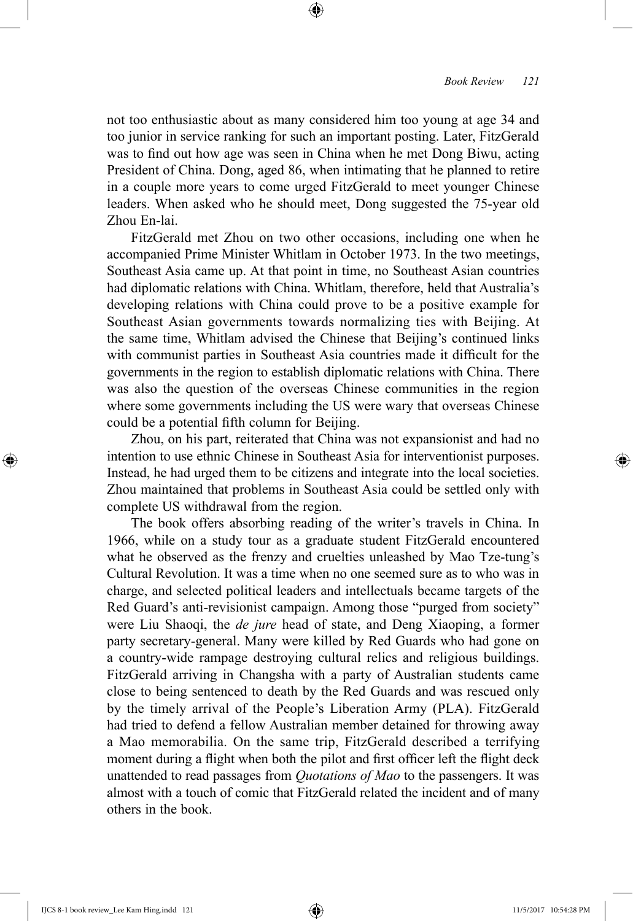not too enthusiastic about as many considered him too young at age 34 and too junior in service ranking for such an important posting. Later, FitzGerald was to find out how age was seen in China when he met Dong Biwu, acting President of China. Dong, aged 86, when intimating that he planned to retire in a couple more years to come urged FitzGerald to meet younger Chinese leaders. When asked who he should meet, Dong suggested the 75-year old Zhou En-lai.

⊕

FitzGerald met Zhou on two other occasions, including one when he accompanied Prime Minister Whitlam in October 1973. In the two meetings, Southeast Asia came up. At that point in time, no Southeast Asian countries had diplomatic relations with China. Whitlam, therefore, held that Australia's developing relations with China could prove to be a positive example for Southeast Asian governments towards normalizing ties with Beijing. At the same time, Whitlam advised the Chinese that Beijing's continued links with communist parties in Southeast Asia countries made it difficult for the governments in the region to establish diplomatic relations with China. There was also the question of the overseas Chinese communities in the region where some governments including the US were wary that overseas Chinese could be a potential fifth column for Beijing.

Zhou, on his part, reiterated that China was not expansionist and had no intention to use ethnic Chinese in Southeast Asia for interventionist purposes. Instead, he had urged them to be citizens and integrate into the local societies. Zhou maintained that problems in Southeast Asia could be settled only with complete US withdrawal from the region.

The book offers absorbing reading of the writer's travels in China. In 1966, while on a study tour as a graduate student FitzGerald encountered what he observed as the frenzy and cruelties unleashed by Mao Tze-tung's Cultural Revolution. It was a time when no one seemed sure as to who was in charge, and selected political leaders and intellectuals became targets of the Red Guard's anti-revisionist campaign. Among those "purged from society" were Liu Shaoqi, the *de jure* head of state, and Deng Xiaoping, a former party secretary-general. Many were killed by Red Guards who had gone on a country-wide rampage destroying cultural relics and religious buildings. FitzGerald arriving in Changsha with a party of Australian students came close to being sentenced to death by the Red Guards and was rescued only by the timely arrival of the People's Liberation Army (PLA). FitzGerald had tried to defend a fellow Australian member detained for throwing away a Mao memorabilia. On the same trip, FitzGerald described a terrifying moment during a flight when both the pilot and first officer left the flight deck unattended to read passages from *Quotations of Mao* to the passengers. It was almost with a touch of comic that FitzGerald related the incident and of many others in the book.

IJCS 8-1 book review\_Lee Kam Hing.indd 121 11/5/2017 10:54:28 PM

⊕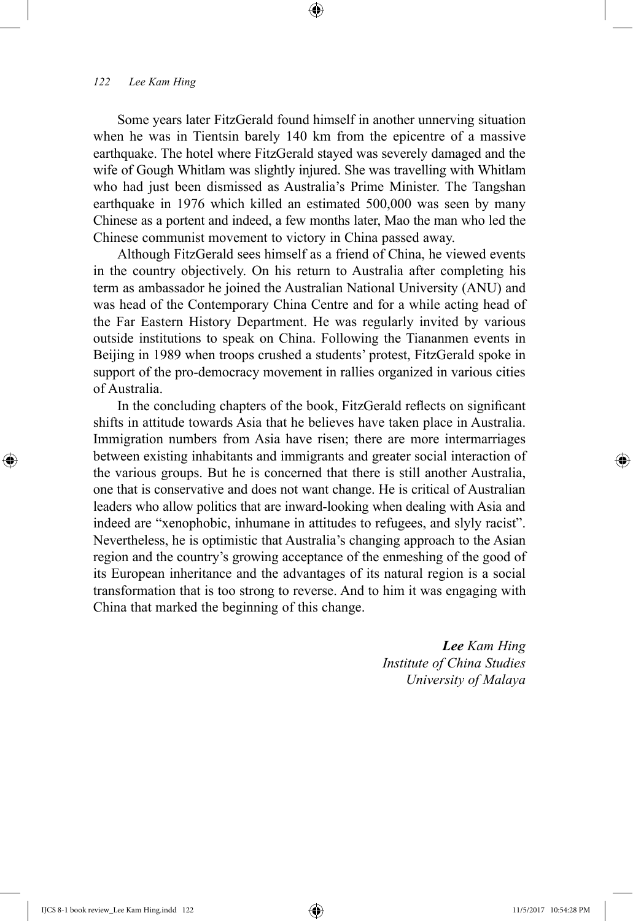## *122 Lee Kam Hing*

Some years later FitzGerald found himself in another unnerving situation when he was in Tientsin barely 140 km from the epicentre of a massive earthquake. The hotel where FitzGerald stayed was severely damaged and the wife of Gough Whitlam was slightly injured. She was travelling with Whitlam who had just been dismissed as Australia's Prime Minister. The Tangshan earthquake in 1976 which killed an estimated 500,000 was seen by many Chinese as a portent and indeed, a few months later, Mao the man who led the Chinese communist movement to victory in China passed away.

⊕

Although FitzGerald sees himself as a friend of China, he viewed events in the country objectively. On his return to Australia after completing his term as ambassador he joined the Australian National University (ANU) and was head of the Contemporary China Centre and for a while acting head of the Far Eastern History Department. He was regularly invited by various outside institutions to speak on China. Following the Tiananmen events in Beijing in 1989 when troops crushed a students' protest, FitzGerald spoke in support of the pro-democracy movement in rallies organized in various cities of Australia.

In the concluding chapters of the book, FitzGerald reflects on significant shifts in attitude towards Asia that he believes have taken place in Australia. Immigration numbers from Asia have risen; there are more intermarriages between existing inhabitants and immigrants and greater social interaction of the various groups. But he is concerned that there is still another Australia, one that is conservative and does not want change. He is critical of Australian leaders who allow politics that are inward-looking when dealing with Asia and indeed are "xenophobic, inhumane in attitudes to refugees, and slyly racist". Nevertheless, he is optimistic that Australia's changing approach to the Asian region and the country's growing acceptance of the enmeshing of the good of its European inheritance and the advantages of its natural region is a social transformation that is too strong to reverse. And to him it was engaging with China that marked the beginning of this change.

> *Lee Kam Hing Institute of China Studies University of Malaya*

⊕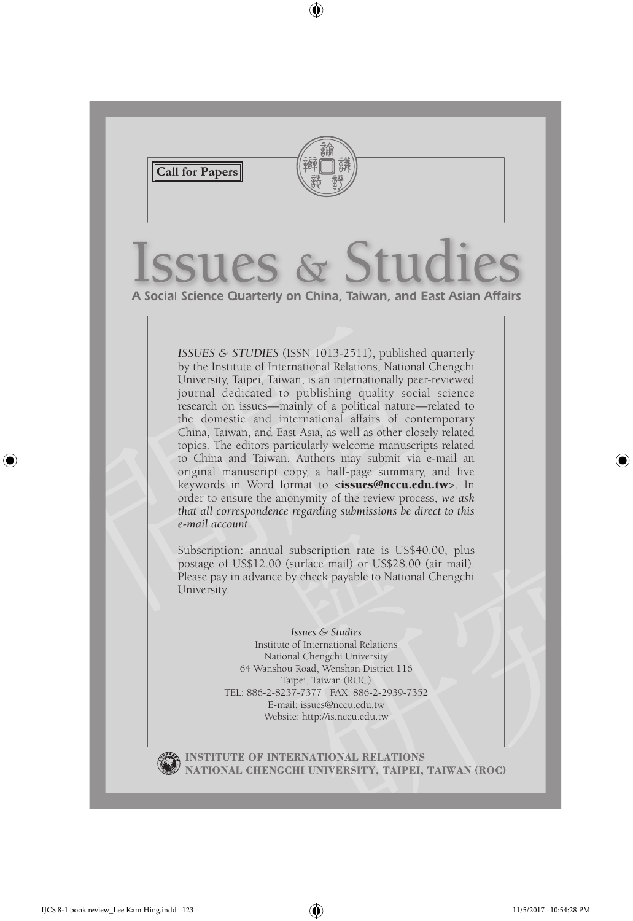

⊕

⊕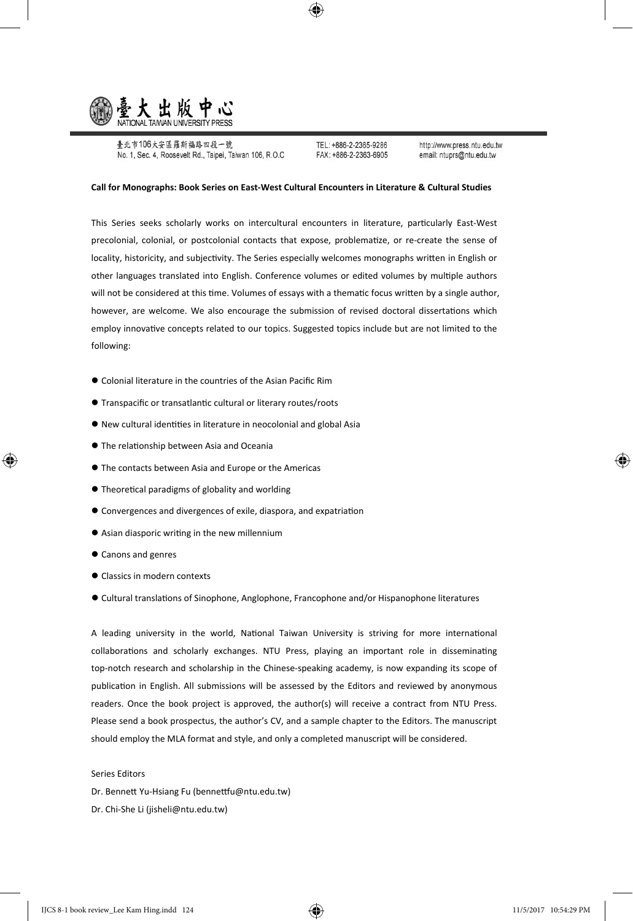

毒北市106大安區羅斯福路四段一號 No. 1, Sec. 4, Roosevelt Rd., Taipei, Taiwan 106, R.O.C.

TEL: +886-2-2365-9286 FAX: +886-2-2363-6905 http://www.press.ntu.edu.tw email: ntuprs@ntu.edu.tw

#### **Call for Monographs: Book Series on East-West Cultural Encounters in Literature & Cultural Studies**

⊕

This Series seeks scholarly works on intercultural encounters in literature, particularly East-West precolonial, colonial, or postcolonial contacts that expose, problematize, or re-create the sense of locality, historicity, and subjectivity. The Series especially welcomes monographs written in English or other languages translated into English. Conference volumes or edited volumes by multiple authors will not be considered at this time. Volumes of essays with a thematic focus written by a single author, however, are welcome. We also encourage the submission of revised doctoral dissertations which employ innovative concepts related to our topics. Suggested topics include but are not limited to the following:

- Colonial literature in the countries of the Asian Pacific Rim
- Transpacific or transatlantic cultural or literary routes/roots
- New cultural identities in literature in neocolonial and global Asia
- The relationship between Asia and Oceania
- The contacts between Asia and Europe or the Americas
- Theoretical paradigms of globality and worlding
- Convergences and divergences of exile, diaspora, and expatriation
- Asian diasporic writing in the new millennium
- Canons and genres

⊕

- Classics in modern contexts
- Cultural translations of Sinophone, Anglophone, Francophone and/or Hispanophone literatures

A leading university in the world, National Taiwan University is striving for more international collaborations and scholarly exchanges. NTU Press, playing an important role in disseminating top-notch research and scholarship in the Chinese-speaking academy, is now expanding its scope of publication in English. All submissions will be assessed by the Editors and reviewed by anonymous readers. Once the book project is approved, the author(s) will receive a contract from NTU Press. Please send a book prospectus, the author's CV, and a sample chapter to the Editors. The manuscript should employ the MLA format and style, and only a completed manuscript will be considered.

#### Series Editors

Dr. Bennett Yu-Hsiang Fu (bennettfu@ntu.edu.tw) Dr. Chi-She Li (jisheli@ntu.edu.tw)

IJCS 8-1 book review\_Lee Kam Hing.indd 124 11/5/2017 10:54:29 PM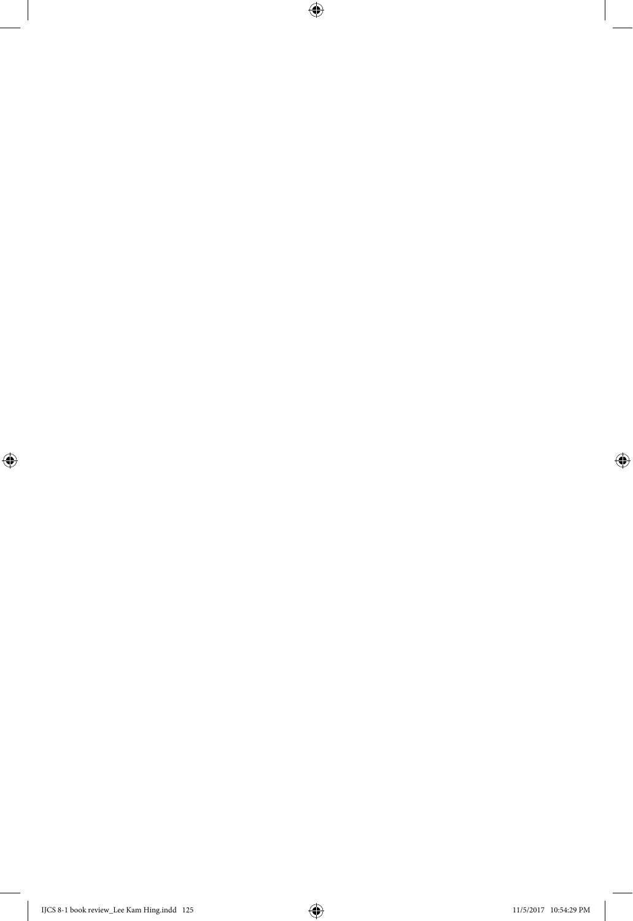

 $\overline{\phantom{a}}$ 

 $\bigoplus$ 

 $\bigoplus$ 

I